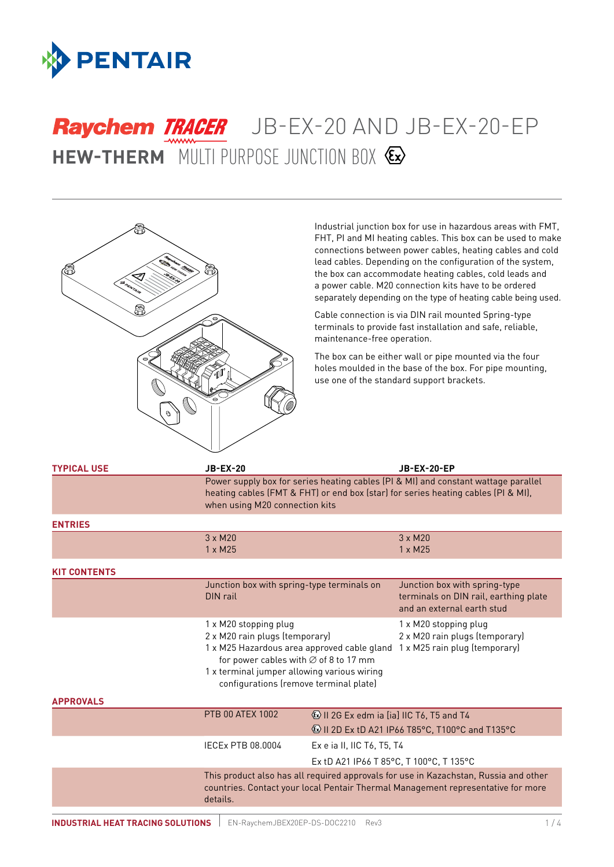

# **HEW-THERM** MULTI PURPOSE JUNCTION BOX Raychem TRACER JB-EX-20 AND JB-EX-20-EP



Industrial junction box for use in hazardous areas with FMT, FHT, PI and MI heating cables. This box can be used to make connections between power cables, heating cables and cold lead cables. Depending on the configuration of the system, the box can accommodate heating cables, cold leads and a power cable. M20 connection kits have to be ordered separately depending on the type of heating cable being used.

Cable connection is via DIN rail mounted Spring-type terminals to provide fast installation and safe, reliable, maintenance-free operation.

The box can be either wall or pipe mounted via the four holes moulded in the base of the box. For pipe mounting, use one of the standard support brackets.

| <b>TYPICAL USE</b>  | <b>JB-EX-20</b>                                                                                                                                                                                                                                      |                                                                                                                   | <b>JB-EX-20-EP</b>                                                                                   |
|---------------------|------------------------------------------------------------------------------------------------------------------------------------------------------------------------------------------------------------------------------------------------------|-------------------------------------------------------------------------------------------------------------------|------------------------------------------------------------------------------------------------------|
|                     | Power supply box for series heating cables (PI & MI) and constant wattage parallel<br>heating cables (FMT & FHT) or end box (star) for series heating cables (PI & MI),<br>when using M20 connection kits                                            |                                                                                                                   |                                                                                                      |
| <b>ENTRIES</b>      |                                                                                                                                                                                                                                                      |                                                                                                                   |                                                                                                      |
|                     | $3 \times M20$<br>$1 \times M25$                                                                                                                                                                                                                     |                                                                                                                   | $3 \times M20$<br>$1 \times M25$                                                                     |
| <b>KIT CONTENTS</b> |                                                                                                                                                                                                                                                      |                                                                                                                   |                                                                                                      |
|                     | Junction box with spring-type terminals on<br>DIN rail                                                                                                                                                                                               |                                                                                                                   | Junction box with spring-type<br>terminals on DIN rail, earthing plate<br>and an external earth stud |
|                     | 1 x M20 stopping plug<br>2 x M20 rain plugs (temporary)<br>1 x M25 Hazardous area approved cable gland<br>for power cables with $\varnothing$ of 8 to 17 mm<br>1 x terminal jumper allowing various wiring<br>configurations (remove terminal plate) |                                                                                                                   | 1 x M20 stopping plug<br>2 x M20 rain plugs (temporary)<br>1 x M25 rain plug (temporary)             |
| <b>APPROVALS</b>    |                                                                                                                                                                                                                                                      |                                                                                                                   |                                                                                                      |
|                     | <b>PTB 00 ATEX 1002</b>                                                                                                                                                                                                                              | <b>&amp; II 2G Ex edm ia [ia] IIC T6, T5 and T4</b><br><b>&amp; II 2D Ex tD A21 IP66 T85°C, T100°C and T135°C</b> |                                                                                                      |
|                     | IECEx PTB 08.0004                                                                                                                                                                                                                                    | Ex e ia II, IIC T6, T5, T4                                                                                        |                                                                                                      |
|                     |                                                                                                                                                                                                                                                      | Ex tD A21 IP66 T 85°C, T 100°C, T 135°C                                                                           |                                                                                                      |
|                     | This product also has all required approvals for use in Kazachstan, Russia and other<br>countries. Contact your local Pentair Thermal Management representative for more                                                                             |                                                                                                                   |                                                                                                      |

details.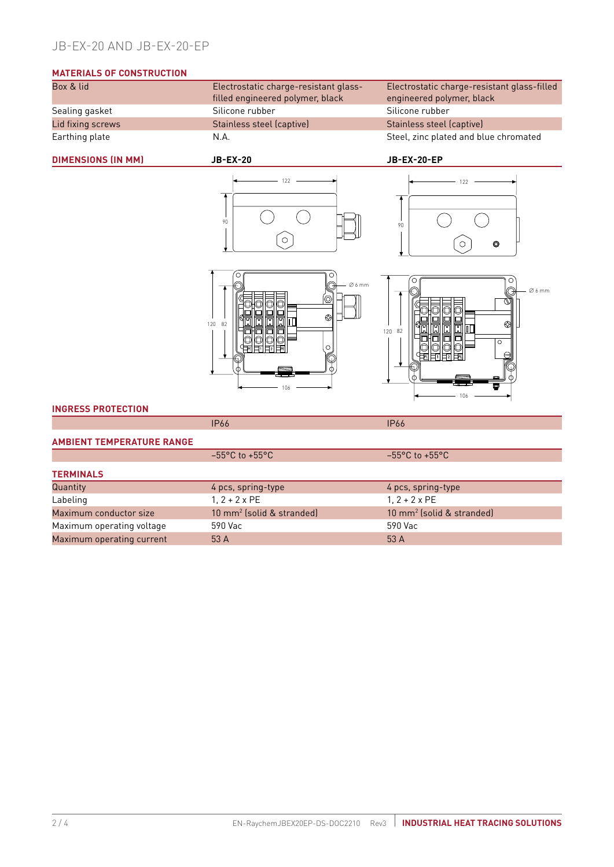### JB-EX-20 AND JB-EX-20-EP

## **MATERIALS OF CONSTRUCTION**<br>Box & lid

| Electrostatic charge-resistant glass- | Electrostatic charge-resistant glass-fi |
|---------------------------------------|-----------------------------------------|
| filled engineered polymer, black      | engineered polymer, black               |
| Silicone rubber                       | Silicone rubber                         |
| Stainless steel (captive)             | Stainless steel (captive)               |
| N.A.                                  | Steel, zinc plated and blue chromated   |
|                                       |                                         |

120

82

Electrostatic charge-resistant glass-filled engineered polymer, black

#### **DIMENSIONS (IN MM) JB-EX-20 JB-EX-20-EP**







#### **INGRESS PROTECTION**

#### **AMBIENT TEMPERATURE RANGE**

|                           | $-55^{\circ}$ C to $+55^{\circ}$ C    | $-55^{\circ}$ C to $+55^{\circ}$ C    |  |
|---------------------------|---------------------------------------|---------------------------------------|--|
| <b>TERMINALS</b>          |                                       |                                       |  |
| <b>Quantity</b>           | 4 pcs, spring-type                    | 4 pcs, spring-type                    |  |
| Labeling                  | $1.2 + 2 \times PE$                   | $1, 2 + 2 \times PE$                  |  |
| Maximum conductor size    | 10 mm <sup>2</sup> (solid & stranded) | 10 mm <sup>2</sup> (solid & stranded) |  |
| Maximum operating voltage | 590 Vac                               | 590 Vac                               |  |
| Maximum operating current | 53 A                                  | 53 A                                  |  |

IP66 IP66

∅ 6 mm

6

ℰ

C

106

L<br>C

ıГ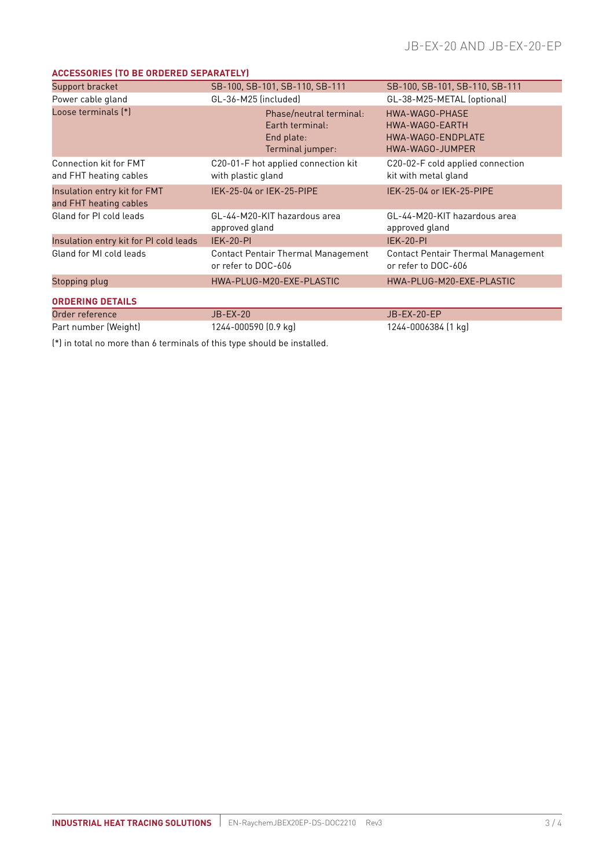#### **ACCESSORIES (TO BE ORDERED SEPARATELY)**

| Support bracket                                         | SB-100, SB-101, SB-110, SB-111                                               | SB-100, SB-101, SB-110, SB-111                                           |
|---------------------------------------------------------|------------------------------------------------------------------------------|--------------------------------------------------------------------------|
| Power cable gland                                       | GL-36-M25 (included)                                                         | GL-38-M25-METAL (optional)                                               |
| Loose terminals [*]                                     | Phase/neutral terminal:<br>Earth terminal:<br>End plate:<br>Terminal jumper: | HWA-WAGO-PHASE<br>HWA-WAGO-EARTH<br>HWA-WAGO-ENDPLATE<br>HWA-WAGO-JUMPER |
| <b>Connection kit for FMT</b><br>and FHT heating cables | C20-01-F hot applied connection kit<br>with plastic gland                    | C20-02-F cold applied connection<br>kit with metal gland                 |
| Insulation entry kit for FMT<br>and FHT heating cables  | IEK-25-04 or IEK-25-PIPE                                                     | IEK-25-04 or IEK-25-PIPE                                                 |
| Gland for PI cold leads                                 | GL-44-M20-KIT hazardous area<br>approved gland                               | GL-44-M20-KIT hazardous area<br>approved gland                           |
| Insulation entry kit for PI cold leads                  | <b>IEK-20-PI</b>                                                             | <b>IEK-20-PI</b>                                                         |
| Gland for MI cold leads                                 | <b>Contact Pentair Thermal Management</b><br>or refer to DOC-606             | <b>Contact Pentair Thermal Management</b><br>or refer to DOC-606         |
| Stopping plug                                           | HWA-PLUG-M20-EXE-PLASTIC                                                     | HWA-PLUG-M20-EXE-PLASTIC                                                 |
| <b>ORDERING DETAILS</b>                                 |                                                                              |                                                                          |
| Order reference                                         | <b>JB-EX-20</b>                                                              | JB-EX-20-EP                                                              |
| Part number (Weight)                                    | 1244-000590 (0.9 kg)                                                         | 1244-0006384 (1 kg)                                                      |

(\*) in total no more than 6 terminals of this type should be installed.